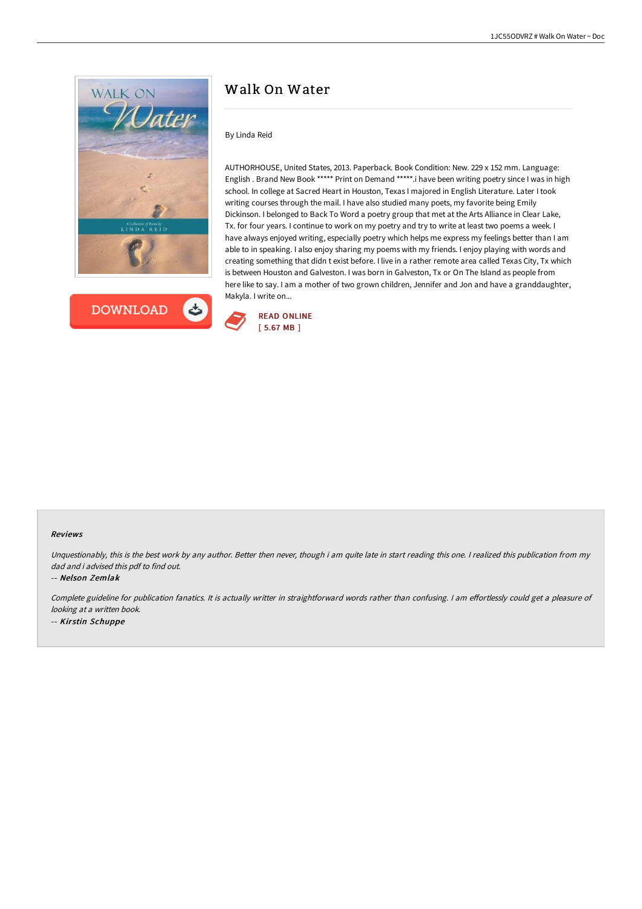



# Walk On Water

### By Linda Reid

AUTHORHOUSE, United States, 2013. Paperback. Book Condition: New. 229 x 152 mm. Language: English . Brand New Book \*\*\*\*\* Print on Demand \*\*\*\*\*. i have been writing poetry since I was in high school. In college at Sacred Heart in Houston, Texas I majored in English Literature. Later I took writing courses through the mail. I have also studied many poets, my favorite being Emily Dickinson. I belonged to Back To Word a poetry group that met at the Arts Alliance in Clear Lake, Tx. for four years. I continue to work on my poetry and try to write at least two poems a week. I have always enjoyed writing, especially poetry which helps me express my feelings better than I am able to in speaking. I also enjoy sharing my poems with my friends. I enjoy playing with words and creating something that didn t exist before. I live in a rather remote area called Texas City, Tx which is between Houston and Galveston. I was born in Galveston, Tx or On The Island as people from here like to say. I am a mother of two grown children, Jennifer and Jon and have a granddaughter, Makyla. I write on...



#### Reviews

Unquestionably, this is the best work by any author. Better then never, though i am quite late in start reading this one. I realized this publication from my dad and i advised this pdf to find out.

-- Nelson Zemlak

Complete guideline for publication fanatics. It is actually writter in straightforward words rather than confusing. I am effortlessly could get a pleasure of looking at <sup>a</sup> written book. -- Kirstin Schuppe